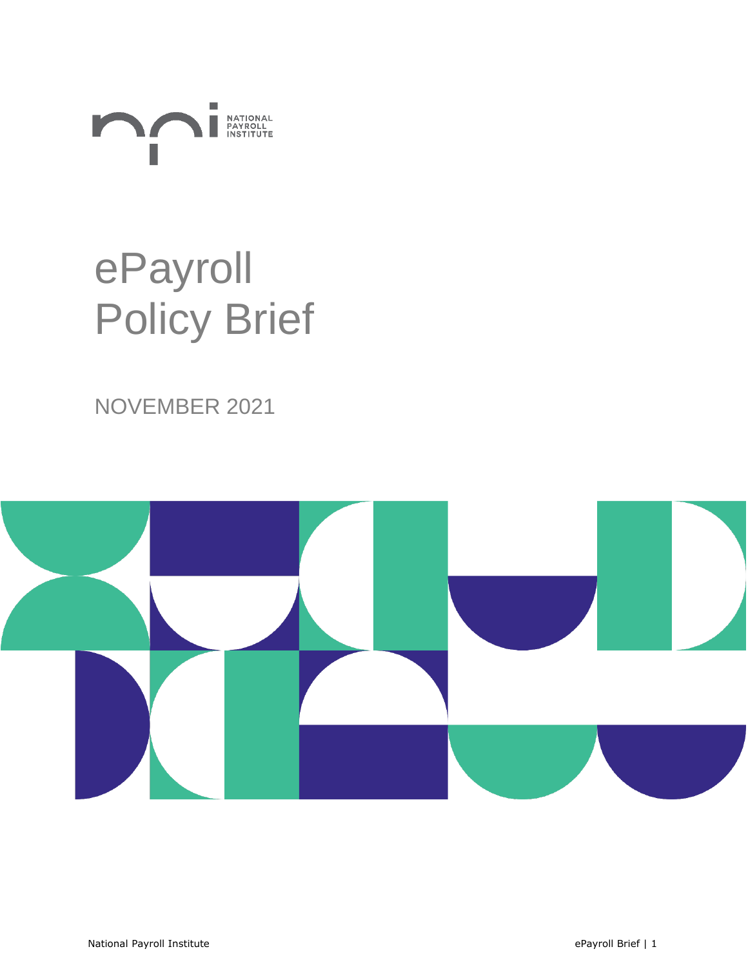

# ePayroll Policy Brief

### NOVEMBER 2021

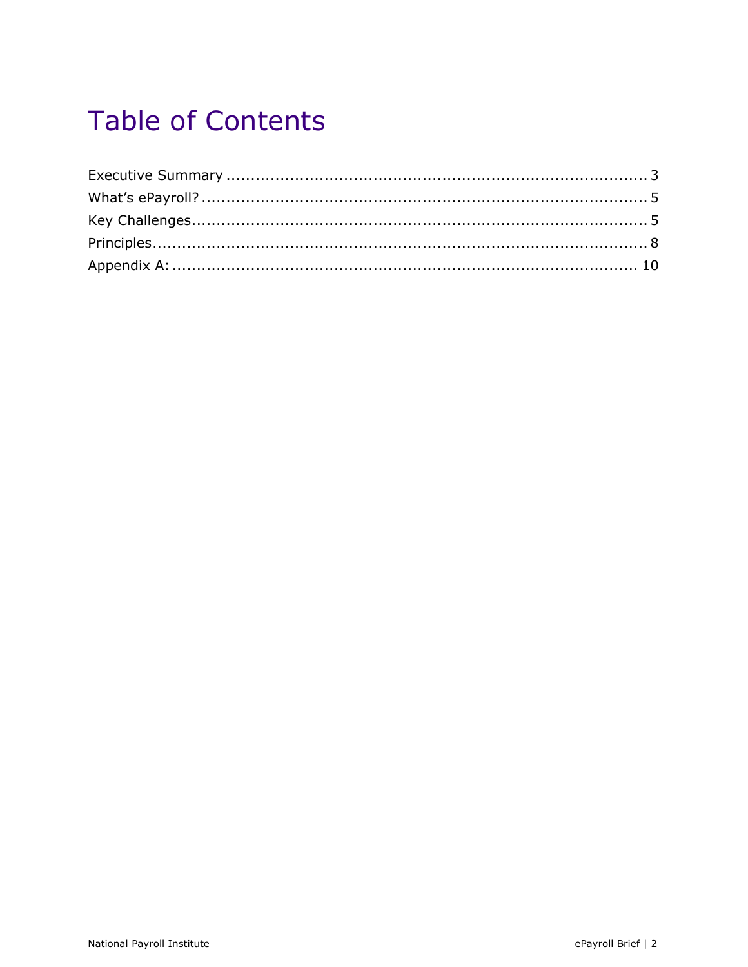### **Table of Contents**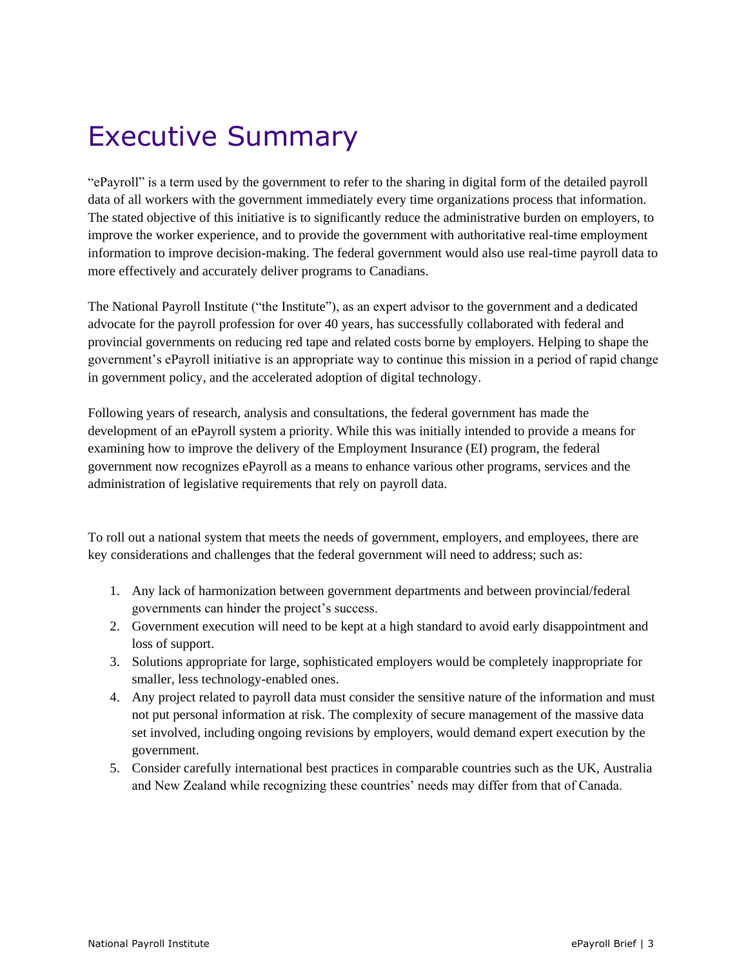### <span id="page-2-0"></span>Executive Summary

"ePayroll" is a term used by the government to refer to the sharing in digital form of the detailed payroll data of all workers with the government immediately every time organizations process that information. The stated objective of this initiative is to significantly reduce the administrative burden on employers, to improve the worker experience, and to provide the government with authoritative real-time employment information to improve decision-making. The federal government would also use real-time payroll data to more effectively and accurately deliver programs to Canadians.

The National Payroll Institute ("the Institute"), as an expert advisor to the government and a dedicated advocate for the payroll profession for over 40 years, has successfully collaborated with federal and provincial governments on reducing red tape and related costs borne by employers. Helping to shape the government's ePayroll initiative is an appropriate way to continue this mission in a period of rapid change in government policy, and the accelerated adoption of digital technology.

Following years of research, analysis and consultations, the federal government has made the development of an ePayroll system a priority. While this was initially intended to provide a means for examining how to improve the delivery of the Employment Insurance (EI) program, the federal government now recognizes ePayroll as a means to enhance various other programs, services and the administration of legislative requirements that rely on payroll data.

To roll out a national system that meets the needs of government, employers, and employees, there are key considerations and challenges that the federal government will need to address; such as:

- 1. Any lack of harmonization between government departments and between provincial/federal governments can hinder the project's success.
- 2. Government execution will need to be kept at a high standard to avoid early disappointment and loss of support.
- 3. Solutions appropriate for large, sophisticated employers would be completely inappropriate for smaller, less technology-enabled ones.
- 4. Any project related to payroll data must consider the sensitive nature of the information and must not put personal information at risk. The complexity of secure management of the massive data set involved, including ongoing revisions by employers, would demand expert execution by the government.
- 5. Consider carefully international best practices in comparable countries such as the UK, Australia and New Zealand while recognizing these countries' needs may differ from that of Canada.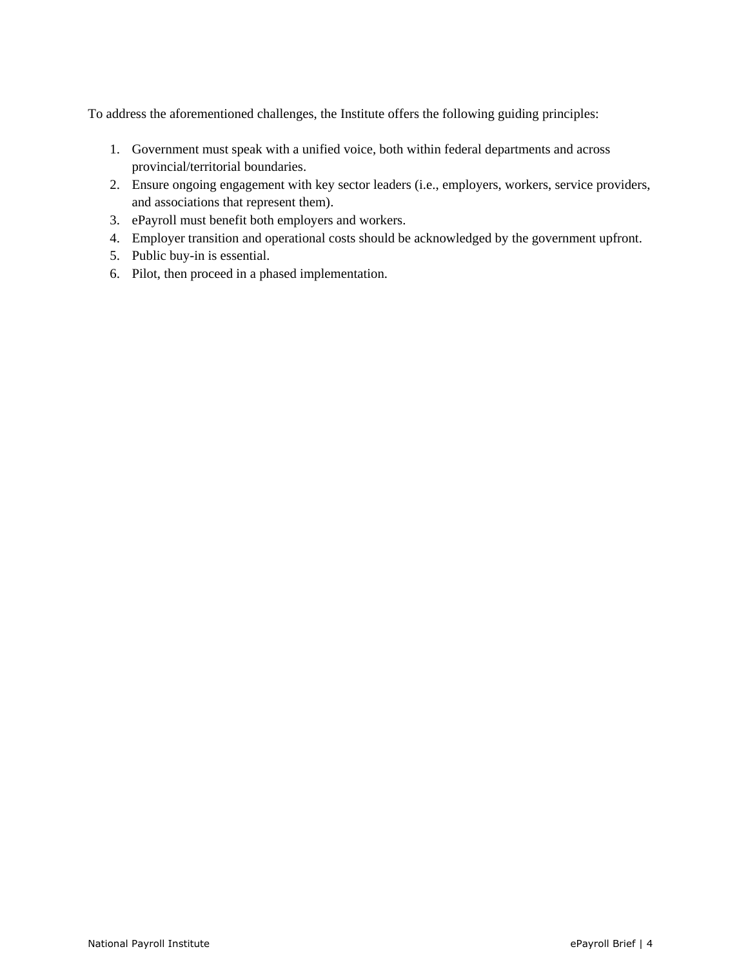To address the aforementioned challenges, the Institute offers the following guiding principles:

- 1. Government must speak with a unified voice, both within federal departments and across provincial/territorial boundaries.
- 2. Ensure ongoing engagement with key sector leaders (i.e., employers, workers, service providers, and associations that represent them).
- 3. ePayroll must benefit both employers and workers.
- 4. Employer transition and operational costs should be acknowledged by the government upfront.
- 5. Public buy-in is essential.
- 6. Pilot, then proceed in a phased implementation.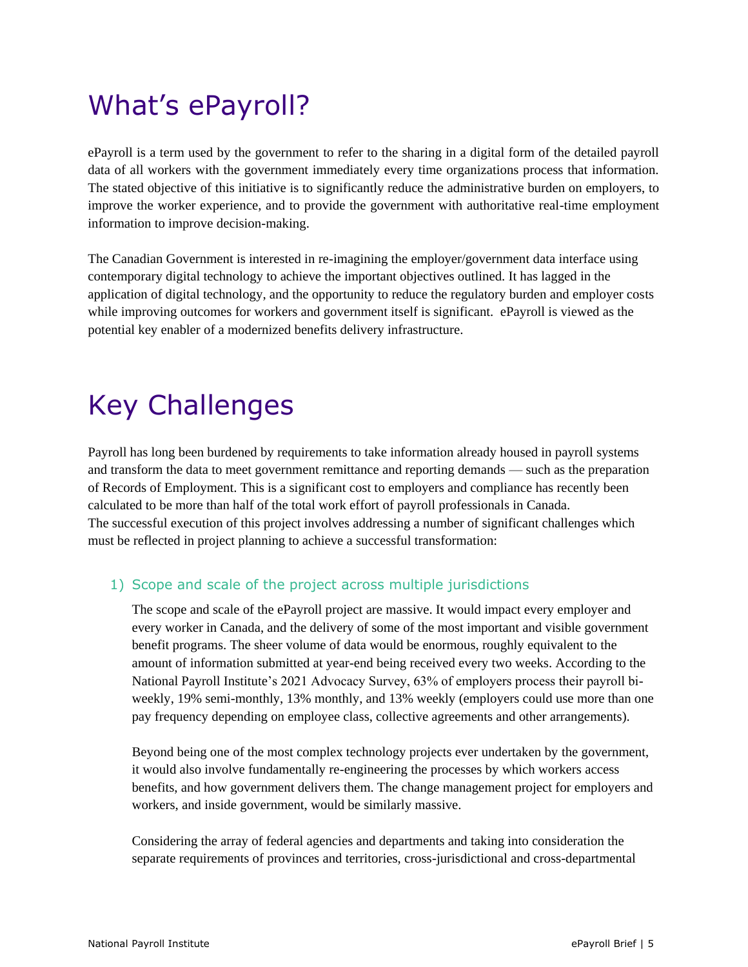### <span id="page-4-0"></span>What's ePayroll?

ePayroll is a term used by the government to refer to the sharing in a digital form of the detailed payroll data of all workers with the government immediately every time organizations process that information. The stated objective of this initiative is to significantly reduce the administrative burden on employers, to improve the worker experience, and to provide the government with authoritative real-time employment information to improve decision-making.

The Canadian Government is interested in re-imagining the employer/government data interface using contemporary digital technology to achieve the important objectives outlined. It has lagged in the application of digital technology, and the opportunity to reduce the regulatory burden and employer costs while improving outcomes for workers and government itself is significant. ePayroll is viewed as the potential key enabler of a modernized benefits delivery infrastructure.

## <span id="page-4-1"></span>Key Challenges

Payroll has long been burdened by requirements to take information already housed in payroll systems and transform the data to meet government remittance and reporting demands — such as the preparation of Records of Employment. This is a significant cost to employers and compliance has recently been calculated to be more than half of the total work effort of payroll professionals in Canada. The successful execution of this project involves addressing a number of significant challenges which must be reflected in project planning to achieve a successful transformation:

#### 1) Scope and scale of the project across multiple jurisdictions

The scope and scale of the ePayroll project are massive. It would impact every employer and every worker in Canada, and the delivery of some of the most important and visible government benefit programs. The sheer volume of data would be enormous, roughly equivalent to the amount of information submitted at year-end being received every two weeks. According to the National Payroll Institute's 2021 Advocacy Survey, 63% of employers process their payroll biweekly, 19% semi-monthly, 13% monthly, and 13% weekly (employers could use more than one pay frequency depending on employee class, collective agreements and other arrangements).

Beyond being one of the most complex technology projects ever undertaken by the government, it would also involve fundamentally re-engineering the processes by which workers access benefits, and how government delivers them. The change management project for employers and workers, and inside government, would be similarly massive.

Considering the array of federal agencies and departments and taking into consideration the separate requirements of provinces and territories, cross-jurisdictional and cross-departmental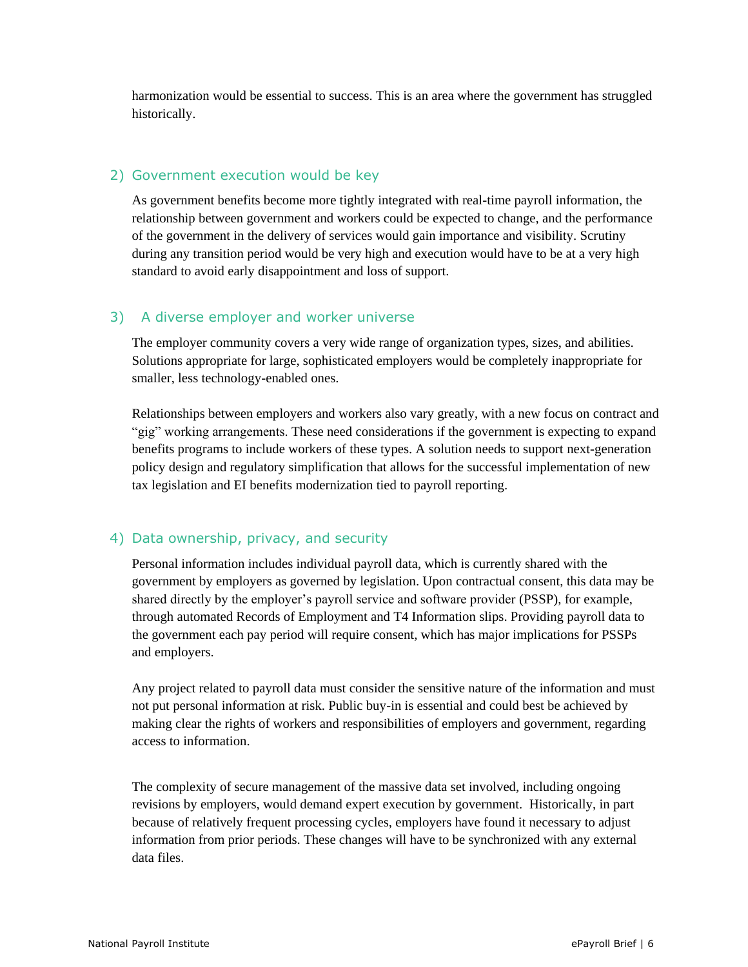harmonization would be essential to success. This is an area where the government has struggled historically.

#### 2) Government execution would be key

As government benefits become more tightly integrated with real-time payroll information, the relationship between government and workers could be expected to change, and the performance of the government in the delivery of services would gain importance and visibility. Scrutiny during any transition period would be very high and execution would have to be at a very high standard to avoid early disappointment and loss of support.

#### 3) A diverse employer and worker universe

The employer community covers a very wide range of organization types, sizes, and abilities. Solutions appropriate for large, sophisticated employers would be completely inappropriate for smaller, less technology-enabled ones.

Relationships between employers and workers also vary greatly, with a new focus on contract and "gig" working arrangements. These need considerations if the government is expecting to expand benefits programs to include workers of these types. A solution needs to support next-generation policy design and regulatory simplification that allows for the successful implementation of new tax legislation and EI benefits modernization tied to payroll reporting.

#### 4) Data ownership, privacy, and security

Personal information includes individual payroll data, which is currently shared with the government by employers as governed by legislation. Upon contractual consent, this data may be shared directly by the employer's payroll service and software provider (PSSP), for example, through automated Records of Employment and T4 Information slips. Providing payroll data to the government each pay period will require consent, which has major implications for PSSPs and employers.

Any project related to payroll data must consider the sensitive nature of the information and must not put personal information at risk. Public buy-in is essential and could best be achieved by making clear the rights of workers and responsibilities of employers and government, regarding access to information.

The complexity of secure management of the massive data set involved, including ongoing revisions by employers, would demand expert execution by government. Historically, in part because of relatively frequent processing cycles, employers have found it necessary to adjust information from prior periods. These changes will have to be synchronized with any external data files.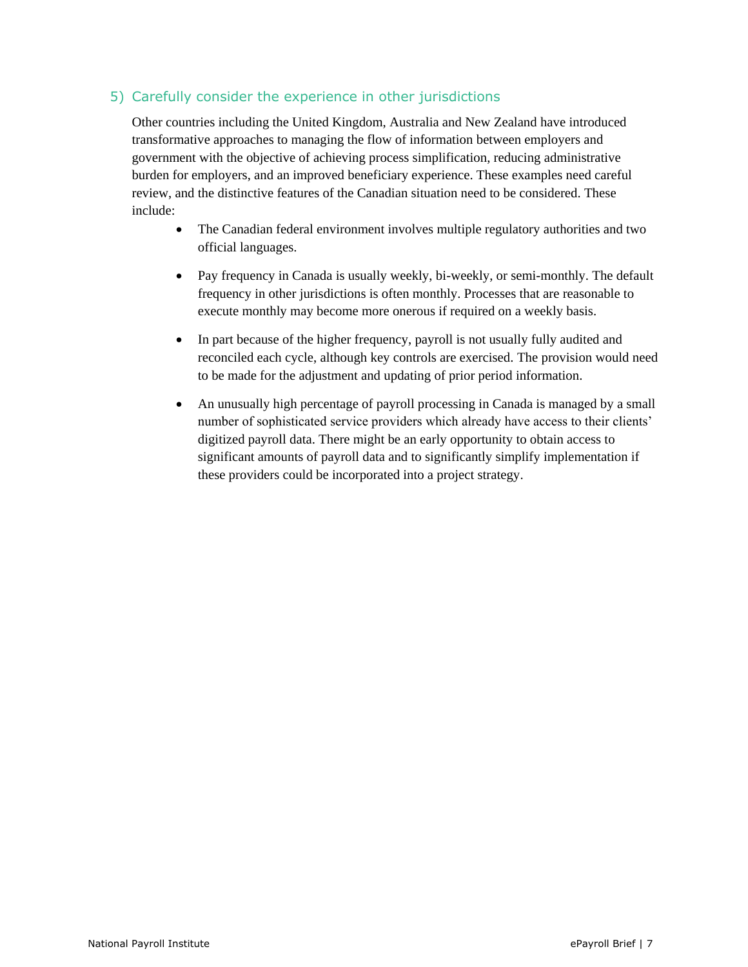#### 5) Carefully consider the experience in other jurisdictions

Other countries including the United Kingdom, Australia and New Zealand have introduced transformative approaches to managing the flow of information between employers and government with the objective of achieving process simplification, reducing administrative burden for employers, and an improved beneficiary experience. These examples need careful review, and the distinctive features of the Canadian situation need to be considered. These include:

- The Canadian federal environment involves multiple regulatory authorities and two official languages.
- Pay frequency in Canada is usually weekly, bi-weekly, or semi-monthly. The default frequency in other jurisdictions is often monthly. Processes that are reasonable to execute monthly may become more onerous if required on a weekly basis.
- In part because of the higher frequency, payroll is not usually fully audited and reconciled each cycle, although key controls are exercised. The provision would need to be made for the adjustment and updating of prior period information.
- An unusually high percentage of payroll processing in Canada is managed by a small number of sophisticated service providers which already have access to their clients' digitized payroll data. There might be an early opportunity to obtain access to significant amounts of payroll data and to significantly simplify implementation if these providers could be incorporated into a project strategy.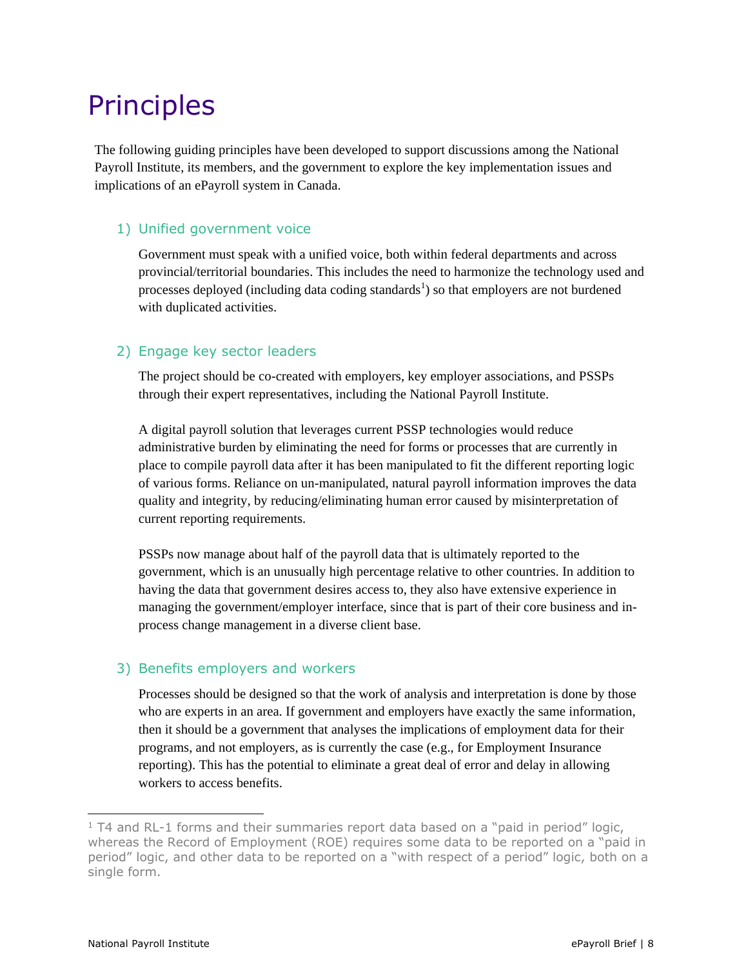### <span id="page-7-0"></span>Principles

The following guiding principles have been developed to support discussions among the National Payroll Institute, its members, and the government to explore the key implementation issues and implications of an ePayroll system in Canada.

#### 1) Unified government voice

Government must speak with a unified voice, both within federal departments and across provincial/territorial boundaries. This includes the need to harmonize the technology used and processes deployed (including data coding standards<sup>1</sup>) so that employers are not burdened with duplicated activities.

#### 2) Engage key sector leaders

The project should be co-created with employers, key employer associations, and PSSPs through their expert representatives, including the National Payroll Institute.

A digital payroll solution that leverages current PSSP technologies would reduce administrative burden by eliminating the need for forms or processes that are currently in place to compile payroll data after it has been manipulated to fit the different reporting logic of various forms. Reliance on un-manipulated, natural payroll information improves the data quality and integrity, by reducing/eliminating human error caused by misinterpretation of current reporting requirements.

PSSPs now manage about half of the payroll data that is ultimately reported to the government, which is an unusually high percentage relative to other countries. In addition to having the data that government desires access to, they also have extensive experience in managing the government/employer interface, since that is part of their core business and inprocess change management in a diverse client base.

#### 3) Benefits employers and workers

Processes should be designed so that the work of analysis and interpretation is done by those who are experts in an area. If government and employers have exactly the same information, then it should be a government that analyses the implications of employment data for their programs, and not employers, as is currently the case (e.g., for Employment Insurance reporting). This has the potential to eliminate a great deal of error and delay in allowing workers to access benefits.

 $1$  T4 and RL-1 forms and their summaries report data based on a "paid in period" logic, whereas the Record of Employment (ROE) requires some data to be reported on a "paid in period" logic, and other data to be reported on a "with respect of a period" logic, both on a single form.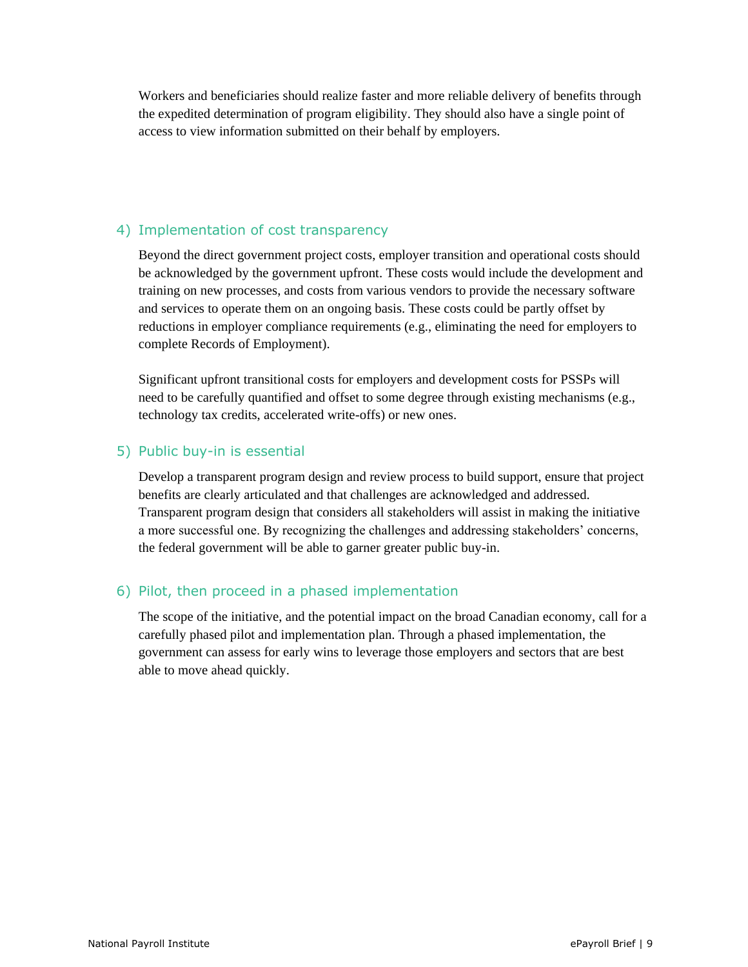Workers and beneficiaries should realize faster and more reliable delivery of benefits through the expedited determination of program eligibility. They should also have a single point of access to view information submitted on their behalf by employers.

#### 4) Implementation of cost transparency

Beyond the direct government project costs, employer transition and operational costs should be acknowledged by the government upfront. These costs would include the development and training on new processes, and costs from various vendors to provide the necessary software and services to operate them on an ongoing basis. These costs could be partly offset by reductions in employer compliance requirements (e.g., eliminating the need for employers to complete Records of Employment).

Significant upfront transitional costs for employers and development costs for PSSPs will need to be carefully quantified and offset to some degree through existing mechanisms (e.g., technology tax credits, accelerated write-offs) or new ones.

#### 5) Public buy-in is essential

Develop a transparent program design and review process to build support, ensure that project benefits are clearly articulated and that challenges are acknowledged and addressed. Transparent program design that considers all stakeholders will assist in making the initiative a more successful one. By recognizing the challenges and addressing stakeholders' concerns, the federal government will be able to garner greater public buy-in.

#### 6) Pilot, then proceed in a phased implementation

The scope of the initiative, and the potential impact on the broad Canadian economy, call for a carefully phased pilot and implementation plan. Through a phased implementation, the government can assess for early wins to leverage those employers and sectors that are best able to move ahead quickly.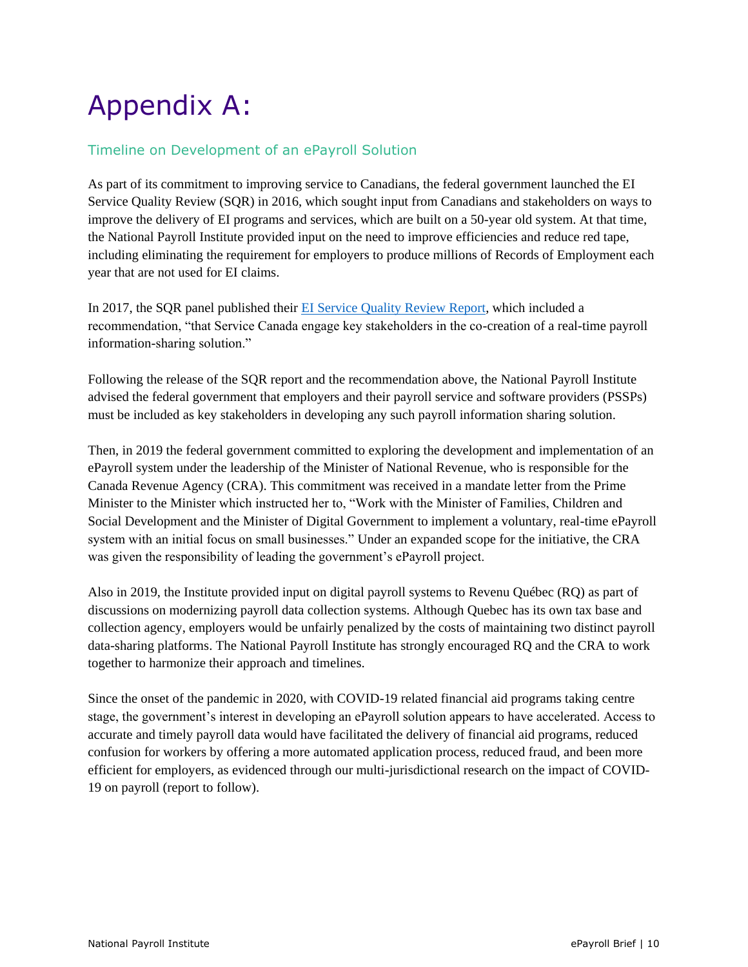## <span id="page-9-0"></span>Appendix A:

#### Timeline on Development of an ePayroll Solution

As part of its commitment to improving service to Canadians, the federal government launched the EI Service Quality Review (SQR) in 2016, which sought input from Canadians and stakeholders on ways to improve the delivery of EI programs and services, which are built on a 50-year old system. At that time, the National Payroll Institute provided input on the need to improve efficiencies and reduce red tape, including eliminating the requirement for employers to produce millions of Records of Employment each year that are not used for EI claims.

In 2017, the SQR panel published their [EI Service Quality Review Report,](https://www.canada.ca/en/employment-social-development/programs/ei/ei-list/reports/service-quality-review-report.html) which included a recommendation, "that Service Canada engage key stakeholders in the co-creation of a real-time payroll information-sharing solution."

Following the release of the SQR report and the recommendation above, the National Payroll Institute advised the federal government that employers and their payroll service and software providers (PSSPs) must be included as key stakeholders in developing any such payroll information sharing solution.

Then, in 2019 the federal government committed to exploring the development and implementation of an ePayroll system under the leadership of the Minister of National Revenue, who is responsible for the Canada Revenue Agency (CRA). This commitment was received in a mandate letter from the Prime Minister to the Minister which instructed her to, "Work with the Minister of Families, Children and Social Development and the Minister of Digital Government to implement a voluntary, real-time ePayroll system with an initial focus on small businesses." Under an expanded scope for the initiative, the CRA was given the responsibility of leading the government's ePayroll project.

Also in 2019, the Institute provided input on digital payroll systems to Revenu Québec (RQ) as part of discussions on modernizing payroll data collection systems. Although Quebec has its own tax base and collection agency, employers would be unfairly penalized by the costs of maintaining two distinct payroll data-sharing platforms. The National Payroll Institute has strongly encouraged RQ and the CRA to work together to harmonize their approach and timelines.

Since the onset of the pandemic in 2020, with COVID-19 related financial aid programs taking centre stage, the government's interest in developing an ePayroll solution appears to have accelerated. Access to accurate and timely payroll data would have facilitated the delivery of financial aid programs, reduced confusion for workers by offering a more automated application process, reduced fraud, and been more efficient for employers, as evidenced through our multi-jurisdictional research on the impact of COVID-19 on payroll (report to follow).